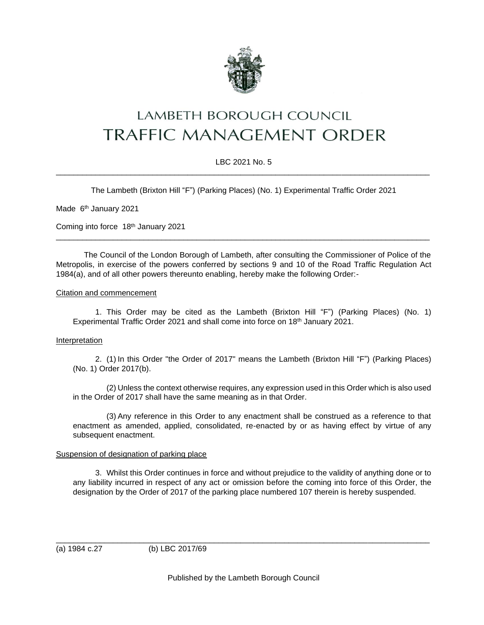

# LAMBETH BOROUGH COUNCIL **TRAFFIC MANAGEMENT ORDER**

## LBC 2021 No. 5 \_\_\_\_\_\_\_\_\_\_\_\_\_\_\_\_\_\_\_\_\_\_\_\_\_\_\_\_\_\_\_\_\_\_\_\_\_\_\_\_\_\_\_\_\_\_\_\_\_\_\_\_\_\_\_\_\_\_\_\_\_\_\_\_\_\_\_\_\_\_\_\_\_\_\_\_\_\_\_\_\_\_\_\_\_

The Lambeth (Brixton Hill "F") (Parking Places) (No. 1) Experimental Traffic Order 2021

Made 6<sup>th</sup> January 2021

Coming into force 18th January 2021

The Council of the London Borough of Lambeth, after consulting the Commissioner of Police of the Metropolis, in exercise of the powers conferred by sections 9 and 10 of the Road Traffic Regulation Act 1984(a), and of all other powers thereunto enabling, hereby make the following Order:-

\_\_\_\_\_\_\_\_\_\_\_\_\_\_\_\_\_\_\_\_\_\_\_\_\_\_\_\_\_\_\_\_\_\_\_\_\_\_\_\_\_\_\_\_\_\_\_\_\_\_\_\_\_\_\_\_\_\_\_\_\_\_\_\_\_\_\_\_\_\_\_\_\_\_\_\_\_\_\_\_\_\_\_\_\_

#### Citation and commencement

1. This Order may be cited as the Lambeth (Brixton Hill "F") (Parking Places) (No. 1) Experimental Traffic Order 2021 and shall come into force on 18<sup>th</sup> January 2021.

### Interpretation

2. (1) In this Order "the Order of 2017" means the Lambeth (Brixton Hill "F") (Parking Places) (No. 1) Order 2017(b).

(2) Unless the context otherwise requires, any expression used in this Order which is also used in the Order of 2017 shall have the same meaning as in that Order.

(3) Any reference in this Order to any enactment shall be construed as a reference to that enactment as amended, applied, consolidated, re-enacted by or as having effect by virtue of any subsequent enactment.

#### Suspension of designation of parking place

3. Whilst this Order continues in force and without prejudice to the validity of anything done or to any liability incurred in respect of any act or omission before the coming into force of this Order, the designation by the Order of 2017 of the parking place numbered 107 therein is hereby suspended.

(a) 1984 c.27 (b) LBC 2017/69

\_\_\_\_\_\_\_\_\_\_\_\_\_\_\_\_\_\_\_\_\_\_\_\_\_\_\_\_\_\_\_\_\_\_\_\_\_\_\_\_\_\_\_\_\_\_\_\_\_\_\_\_\_\_\_\_\_\_\_\_\_\_\_\_\_\_\_\_\_\_\_\_\_\_\_\_\_\_\_\_\_\_\_\_\_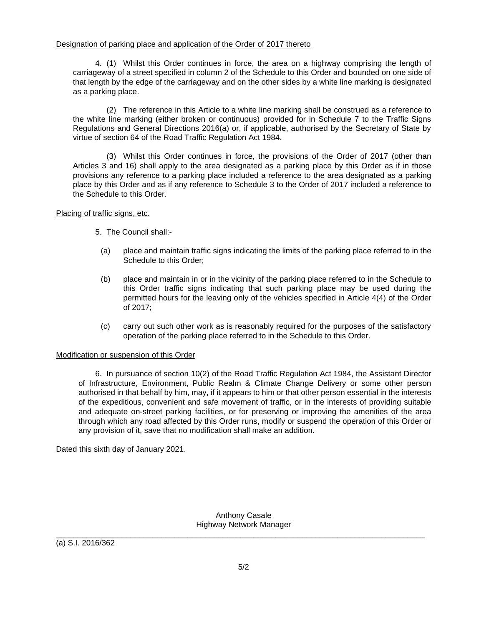## Designation of parking place and application of the Order of 2017 thereto

4. (1) Whilst this Order continues in force, the area on a highway comprising the length of carriageway of a street specified in column 2 of the Schedule to this Order and bounded on one side of that length by the edge of the carriageway and on the other sides by a white line marking is designated as a parking place.

(2) The reference in this Article to a white line marking shall be construed as a reference to the white line marking (either broken or continuous) provided for in Schedule 7 to the Traffic Signs Regulations and General Directions 2016(a) or, if applicable, authorised by the Secretary of State by virtue of section 64 of the Road Traffic Regulation Act 1984.

(3) Whilst this Order continues in force, the provisions of the Order of 2017 (other than Articles 3 and 16) shall apply to the area designated as a parking place by this Order as if in those provisions any reference to a parking place included a reference to the area designated as a parking place by this Order and as if any reference to Schedule 3 to the Order of 2017 included a reference to the Schedule to this Order.

## Placing of traffic signs, etc.

- 5. The Council shall:-
	- (a) place and maintain traffic signs indicating the limits of the parking place referred to in the Schedule to this Order;
	- (b) place and maintain in or in the vicinity of the parking place referred to in the Schedule to this Order traffic signs indicating that such parking place may be used during the permitted hours for the leaving only of the vehicles specified in Article 4(4) of the Order of 2017;
	- (c) carry out such other work as is reasonably required for the purposes of the satisfactory operation of the parking place referred to in the Schedule to this Order.

## Modification or suspension of this Order

6. In pursuance of section 10(2) of the Road Traffic Regulation Act 1984, the Assistant Director of Infrastructure, Environment, Public Realm & Climate Change Delivery or some other person authorised in that behalf by him, may, if it appears to him or that other person essential in the interests of the expeditious, convenient and safe movement of traffic, or in the interests of providing suitable and adequate on-street parking facilities, or for preserving or improving the amenities of the area through which any road affected by this Order runs, modify or suspend the operation of this Order or any provision of it, save that no modification shall make an addition.

Dated this sixth day of January 2021.

Anthony Casale Highway Network Manager

\_\_\_\_\_\_\_\_\_\_\_\_\_\_\_\_\_\_\_\_\_\_\_\_\_\_\_\_\_\_\_\_\_\_\_\_\_\_\_\_\_\_\_\_\_\_\_\_\_\_\_\_\_\_\_\_\_\_\_\_\_\_\_\_\_\_\_\_\_\_\_\_\_\_\_\_\_\_\_\_\_\_\_\_